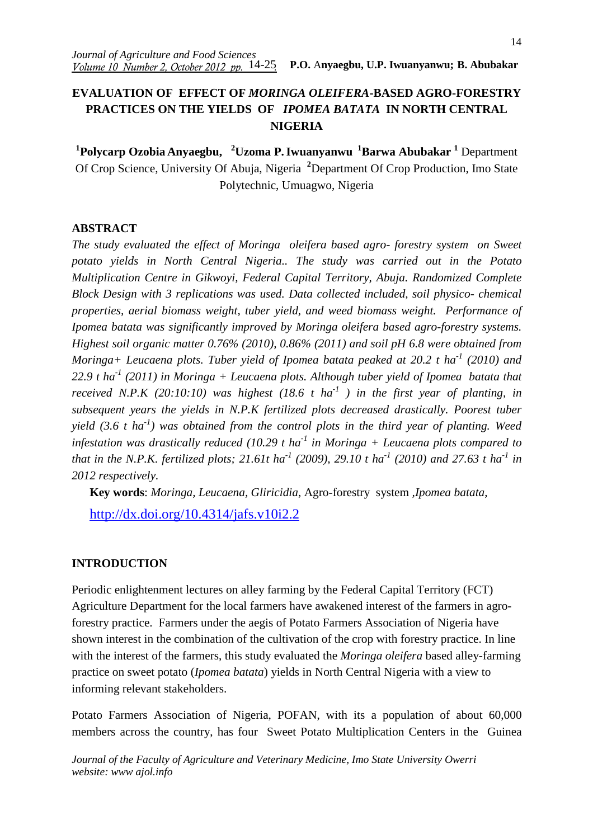# **EVALUATION OF EFFECT OF** *MORINGA OLEIFERA***-BASED AGRO-FORESTRY PRACTICES ON THE YIELDS OF** *IPOMEA BATATA* **IN NORTH CENTRAL NIGERIA**

**1 Polycarp Ozobia Anyaegbu, <sup>2</sup>Uzoma P.Iwuanyanwu <sup>1</sup>Barwa Abubakar <sup>1</sup>** Department Of Crop Science, University Of Abuja, Nigeria **<sup>2</sup>**Department Of Crop Production, Imo State Polytechnic, Umuagwo, Nigeria

### **ABSTRACT**

*The study evaluated the effect of Moringa oleifera based agro- forestry system on Sweet potato yields in North Central Nigeria.. The study was carried out in the Potato Multiplication Centre in Gikwoyi, Federal Capital Territory, Abuja. Randomized Complete Block Design with 3 replications was used. Data collected included, soil physico- chemical properties, aerial biomass weight, tuber yield, and weed biomass weight. Performance of Ipomea batata was significantly improved by Moringa oleifera based agro-forestry systems. Highest soil organic matter 0.76% (2010), 0.86% (2011) and soil pH 6.8 were obtained from Moringa+ Leucaena plots. Tuber yield of Ipomea batata peaked at 20.2 t ha-1 (2010) and 22.9 t ha-1 (2011) in Moringa + Leucaena plots. Although tuber yield of Ipomea batata that received N.P.K (20:10:10) was highest (18.6 t ha<sup>-1</sup>) in the first year of planting, in subsequent years the yields in N.P.K fertilized plots decreased drastically. Poorest tuber yield (3.6 t ha-1) was obtained from the control plots in the third year of planting. Weed infestation was drastically reduced (10.29 t ha-1 in Moringa + Leucaena plots compared to that in the N.P.K. fertilized plots; 21.61t ha-1 (2009), 29.10 t ha-1 (2010) and 27.63 t ha-1 in 2012 respectively.* 

**Key words**: *Moringa, Leucaena, Gliricidia*, Agro-forestry system *,Ipomea batata*,

http://dx.doi.org/10.4314/jafs.v10i2.2

### **INTRODUCTION**

Periodic enlightenment lectures on alley farming by the Federal Capital Territory (FCT) Agriculture Department for the local farmers have awakened interest of the farmers in agroforestry practice. Farmers under the aegis of Potato Farmers Association of Nigeria have shown interest in the combination of the cultivation of the crop with forestry practice. In line with the interest of the farmers, this study evaluated the *Moringa oleifera* based alley-farming practice on sweet potato (*Ipomea batata*) yields in North Central Nigeria with a view to informing relevant stakeholders.

Potato Farmers Association of Nigeria, POFAN, with its a population of about 60,000 members across the country, has four Sweet Potato Multiplication Centers in the Guinea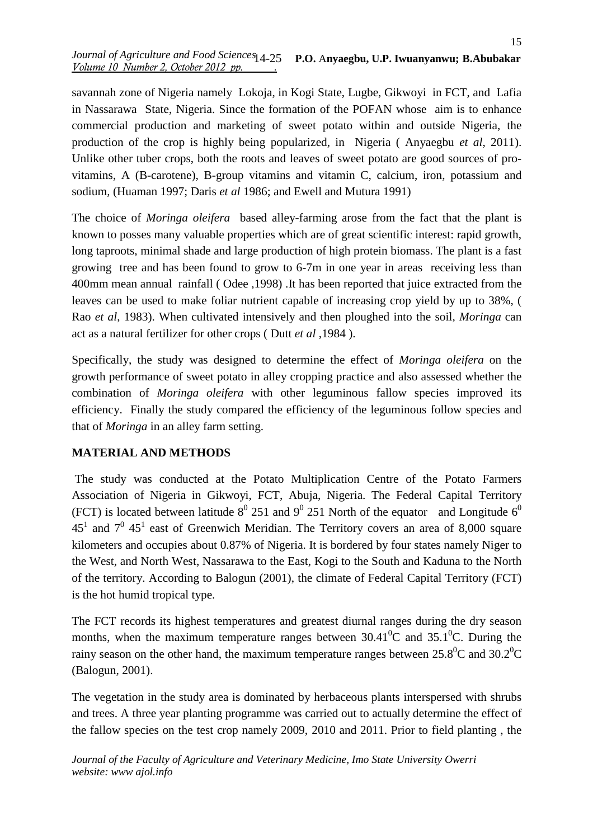savannah zone of Nigeria namely Lokoja, in Kogi State, Lugbe, Gikwoyi in FCT, and Lafia in Nassarawa State, Nigeria. Since the formation of the POFAN whose aim is to enhance commercial production and marketing of sweet potato within and outside Nigeria, the production of the crop is highly being popularized, in Nigeria ( Anyaegbu *et al*, 2011). Unlike other tuber crops, both the roots and leaves of sweet potato are good sources of provitamins, A (B-carotene), B-group vitamins and vitamin C, calcium, iron, potassium and sodium*,* (Huaman 1997; Daris *et al* 1986; and Ewell and Mutura 1991)

The choice of *Moringa oleifera* based alley-farming arose from the fact that the plant is known to posses many valuable properties which are of great scientific interest: rapid growth, long taproots, minimal shade and large production of high protein biomass. The plant is a fast growing tree and has been found to grow to 6-7m in one year in areas receiving less than 400mm mean annual rainfall ( Odee ,1998) .It has been reported that juice extracted from the leaves can be used to make foliar nutrient capable of increasing crop yield by up to 38%, ( Rao *et al*, 1983). When cultivated intensively and then ploughed into the soil*, Moringa* can act as a natural fertilizer for other crops ( Dutt *et al* ,1984 ).

Specifically, the study was designed to determine the effect of *Moringa oleifera* on the growth performance of sweet potato in alley cropping practice and also assessed whether the combination of *Moringa oleifera* with other leguminous fallow species improved its efficiency. Finally the study compared the efficiency of the leguminous follow species and that of *Moringa* in an alley farm setting.

### **MATERIAL AND METHODS**

The study was conducted at the Potato Multiplication Centre of the Potato Farmers Association of Nigeria in Gikwoyi, FCT, Abuja, Nigeria. The Federal Capital Territory (FCT) is located between latitude  $8^{\circ}$  251 and  $9^{\circ}$  251 North of the equator and Longitude  $6^{\circ}$  $45<sup>1</sup>$  and  $7<sup>0</sup>$   $45<sup>1</sup>$  east of Greenwich Meridian. The Territory covers an area of 8,000 square kilometers and occupies about 0.87% of Nigeria. It is bordered by four states namely Niger to the West, and North West, Nassarawa to the East, Kogi to the South and Kaduna to the North of the territory. According to Balogun (2001), the climate of Federal Capital Territory (FCT) is the hot humid tropical type.

The FCT records its highest temperatures and greatest diurnal ranges during the dry season months, when the maximum temperature ranges between  $30.41^{\circ}$ C and  $35.1^{\circ}$ C. During the rainy season on the other hand, the maximum temperature ranges between  $25.8^{\circ}$ C and  $30.2^{\circ}$ C (Balogun, 2001).

The vegetation in the study area is dominated by herbaceous plants interspersed with shrubs and trees. A three year planting programme was carried out to actually determine the effect of the fallow species on the test crop namely 2009, 2010 and 2011. Prior to field planting , the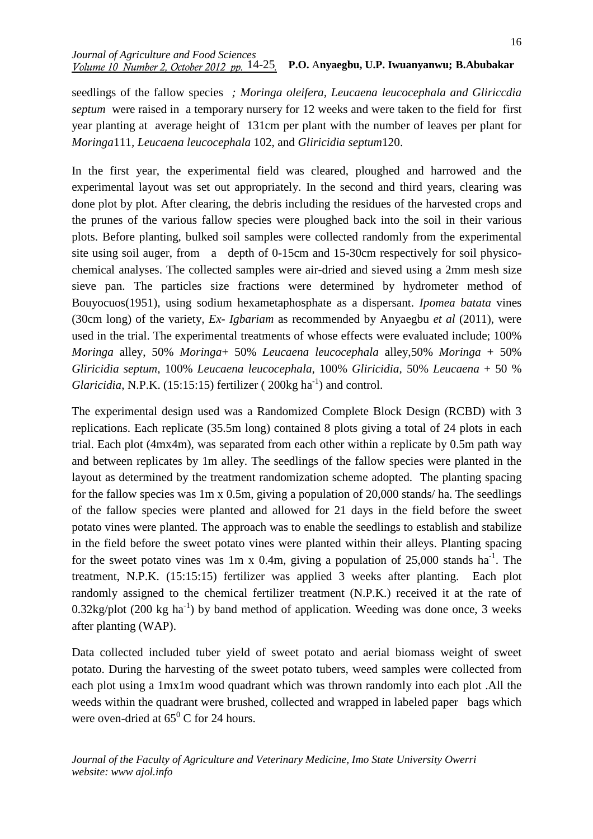#### *Journal of Agriculture and Food Sciences Volume 10 Number 2, October 2012 pp. .* 14-25 **P.O.** A**nyaegbu, U.P. Iwuanyanwu; B.Abubakar**

seedlings of the fallow species *; Moringa oleifera, Leucaena leucocephala and Gliriccdia septum* were raised in a temporary nursery for 12 weeks and were taken to the field for first year planting at average height of 131cm per plant with the number of leaves per plant for *Moringa*111*, Leucaena leucocephala* 102, and *Gliricidia septum*120.

In the first year, the experimental field was cleared, ploughed and harrowed and the experimental layout was set out appropriately. In the second and third years, clearing was done plot by plot. After clearing, the debris including the residues of the harvested crops and the prunes of the various fallow species were ploughed back into the soil in their various plots. Before planting, bulked soil samples were collected randomly from the experimental site using soil auger, from a depth of 0-15cm and 15-30cm respectively for soil physicochemical analyses. The collected samples were air-dried and sieved using a 2mm mesh size sieve pan. The particles size fractions were determined by hydrometer method of Bouyocuos(1951), using sodium hexametaphosphate as a dispersant. *Ipomea batata* vines (30cm long) of the variety*, Ex- Igbariam* as recommended by Anyaegbu *et al* (2011), were used in the trial. The experimental treatments of whose effects were evaluated include; 100% *Moringa* alley, 50% *Moringa*+ 50% *Leucaena leucocephala* alley,50% *Moringa* + 50% *Gliricidia septum*, 100% *Leucaena leucocephala,* 100% *Gliricidia,* 50% *Leucaena* + 50 % *Glaricidia*, N.P.K. (15:15:15) fertilizer (200kg ha<sup>-1</sup>) and control.

The experimental design used was a Randomized Complete Block Design (RCBD) with 3 replications. Each replicate (35.5m long) contained 8 plots giving a total of 24 plots in each trial. Each plot (4mx4m), was separated from each other within a replicate by 0.5m path way and between replicates by 1m alley. The seedlings of the fallow species were planted in the layout as determined by the treatment randomization scheme adopted. The planting spacing for the fallow species was 1m x 0.5m, giving a population of 20,000 stands/ ha. The seedlings of the fallow species were planted and allowed for 21 days in the field before the sweet potato vines were planted. The approach was to enable the seedlings to establish and stabilize in the field before the sweet potato vines were planted within their alleys. Planting spacing for the sweet potato vines was 1m x 0.4m, giving a population of 25,000 stands  $ha^{-1}$ . The treatment, N.P.K. (15:15:15) fertilizer was applied 3 weeks after planting. Each plot randomly assigned to the chemical fertilizer treatment (N.P.K.) received it at the rate of  $0.32\text{kg}/\text{plot}$  (200 kg ha<sup>-1</sup>) by band method of application. Weeding was done once, 3 weeks after planting (WAP).

Data collected included tuber yield of sweet potato and aerial biomass weight of sweet potato. During the harvesting of the sweet potato tubers, weed samples were collected from each plot using a 1mx1m wood quadrant which was thrown randomly into each plot .All the weeds within the quadrant were brushed, collected and wrapped in labeled paper bags which were oven-dried at  $65^{\circ}$  C for 24 hours.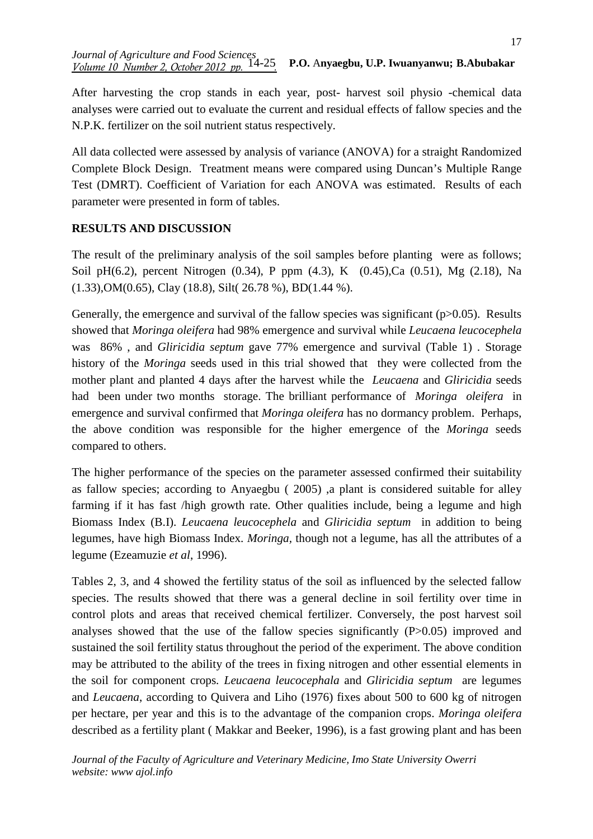After harvesting the crop stands in each year, post- harvest soil physio -chemical data analyses were carried out to evaluate the current and residual effects of fallow species and the N.P.K. fertilizer on the soil nutrient status respectively.

All data collected were assessed by analysis of variance (ANOVA) for a straight Randomized Complete Block Design. Treatment means were compared using Duncan's Multiple Range Test (DMRT). Coefficient of Variation for each ANOVA was estimated. Results of each parameter were presented in form of tables.

## **RESULTS AND DISCUSSION**

The result of the preliminary analysis of the soil samples before planting were as follows; Soil pH(6.2), percent Nitrogen (0.34), P ppm (4.3), K (0.45),Ca (0.51), Mg (2.18), Na (1.33),OM(0.65), Clay (18.8), Silt( 26.78 %), BD(1.44 %).

Generally, the emergence and survival of the fallow species was significant ( $p > 0.05$ ). Results showed that *Moringa oleifera* had 98% emergence and survival while *Leucaena leucocephela* was 86% , and *Gliricidia septum* gave 77% emergence and survival (Table 1) . Storage history of the *Moringa* seeds used in this trial showed that they were collected from the mother plant and planted 4 days after the harvest while the *Leucaena* and *Gliricidia* seeds had been under two months storage. The brilliant performance of *Moringa oleifera* in emergence and survival confirmed that *Moringa oleifera* has no dormancy problem. Perhaps, the above condition was responsible for the higher emergence of the *Moringa* seeds compared to others.

The higher performance of the species on the parameter assessed confirmed their suitability as fallow species; according to Anyaegbu ( 2005) ,a plant is considered suitable for alley farming if it has fast /high growth rate. Other qualities include, being a legume and high Biomass Index (B.I). *Leucaena leucocephela* and *Gliricidia septum* in addition to being legumes, have high Biomass Index*. Moringa,* though not a legume, has all the attributes of a legume (Ezeamuzie *et al*, 1996).

Tables 2, 3, and 4 showed the fertility status of the soil as influenced by the selected fallow species. The results showed that there was a general decline in soil fertility over time in control plots and areas that received chemical fertilizer. Conversely, the post harvest soil analyses showed that the use of the fallow species significantly (P>0.05) improved and sustained the soil fertility status throughout the period of the experiment. The above condition may be attributed to the ability of the trees in fixing nitrogen and other essential elements in the soil for component crops*. Leucaena leucocephala* and *Gliricidia septum* are legumes and *Leucaena*, according to Quivera and Liho (1976) fixes about 500 to 600 kg of nitrogen per hectare, per year and this is to the advantage of the companion crops. *Moringa oleifera* described as a fertility plant ( Makkar and Beeker, 1996), is a fast growing plant and has been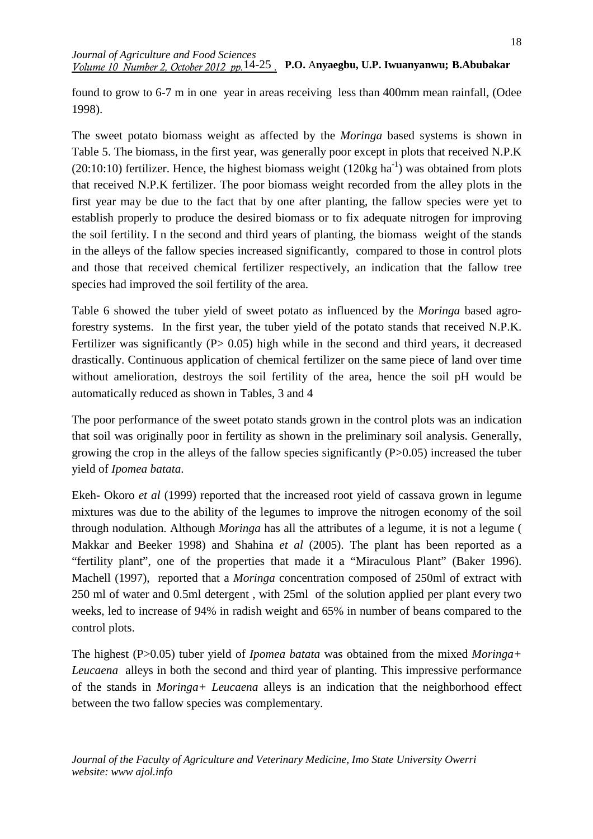*Journal of Agriculture and Food Sciences Volume 10 Number 2, October 2012 pp.* <sup>14-25</sup> **P.O.** Anyaegbu, U.P. Iwuanyanwu; **B.Abubakar** 

found to grow to 6-7 m in one year in areas receiving less than 400mm mean rainfall, (Odee 1998).

The sweet potato biomass weight as affected by the *Moringa* based systems is shown in Table 5. The biomass, in the first year, was generally poor except in plots that received N.P.K (20:10:10) fertilizer. Hence, the highest biomass weight (120kg ha<sup>-1</sup>) was obtained from plots that received N.P.K fertilizer. The poor biomass weight recorded from the alley plots in the first year may be due to the fact that by one after planting, the fallow species were yet to establish properly to produce the desired biomass or to fix adequate nitrogen for improving the soil fertility. I n the second and third years of planting, the biomass weight of the stands in the alleys of the fallow species increased significantly, compared to those in control plots and those that received chemical fertilizer respectively, an indication that the fallow tree species had improved the soil fertility of the area.

Table 6 showed the tuber yield of sweet potato as influenced by the *Moringa* based agroforestry systems. In the first year, the tuber yield of the potato stands that received N.P.K. Fertilizer was significantly  $(P> 0.05)$  high while in the second and third years, it decreased drastically. Continuous application of chemical fertilizer on the same piece of land over time without amelioration, destroys the soil fertility of the area, hence the soil pH would be automatically reduced as shown in Tables, 3 and 4

The poor performance of the sweet potato stands grown in the control plots was an indication that soil was originally poor in fertility as shown in the preliminary soil analysis. Generally, growing the crop in the alleys of the fallow species significantly  $(P>0.05)$  increased the tuber yield of *Ipomea batata*.

Ekeh- Okoro *et al* (1999) reported that the increased root yield of cassava grown in legume mixtures was due to the ability of the legumes to improve the nitrogen economy of the soil through nodulation. Although *Moringa* has all the attributes of a legume, it is not a legume ( Makkar and Beeker 1998) and Shahina *et al* (2005). The plant has been reported as a "fertility plant", one of the properties that made it a "Miraculous Plant" (Baker 1996). Machell (1997), reported that a *Moringa* concentration composed of 250ml of extract with 250 ml of water and 0.5ml detergent , with 25ml of the solution applied per plant every two weeks, led to increase of 94% in radish weight and 65% in number of beans compared to the control plots.

The highest (P>0.05) tuber yield of *Ipomea batata* was obtained from the mixed *Moringa+ Leucaena* alleys in both the second and third year of planting. This impressive performance of the stands in *Moringa+ Leucaena* alleys is an indication that the neighborhood effect between the two fallow species was complementary.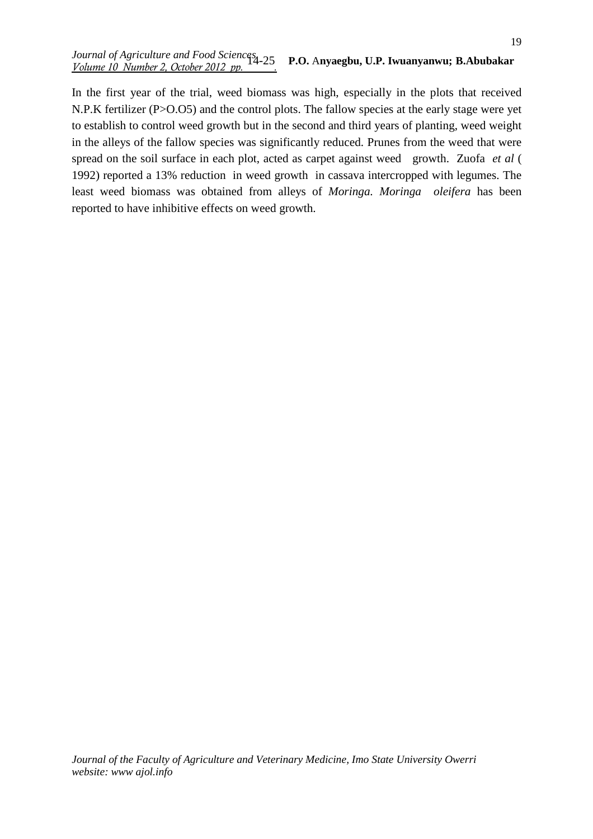#### *Journal of Agriculture and Food Sciences Volume 10 Number 2, October 2012 pp. .* 14-25 **P.O.** A**nyaegbu, U.P. Iwuanyanwu; B.Abubakar**

In the first year of the trial, weed biomass was high, especially in the plots that received N.P.K fertilizer (P>O.O5) and the control plots. The fallow species at the early stage were yet to establish to control weed growth but in the second and third years of planting, weed weight in the alleys of the fallow species was significantly reduced. Prunes from the weed that were spread on the soil surface in each plot, acted as carpet against weed growth. Zuofa *et al* ( 1992) reported a 13% reduction in weed growth in cassava intercropped with legumes. The least weed biomass was obtained from alleys of *Moringa. Moringa oleifera* has been reported to have inhibitive effects on weed growth*.*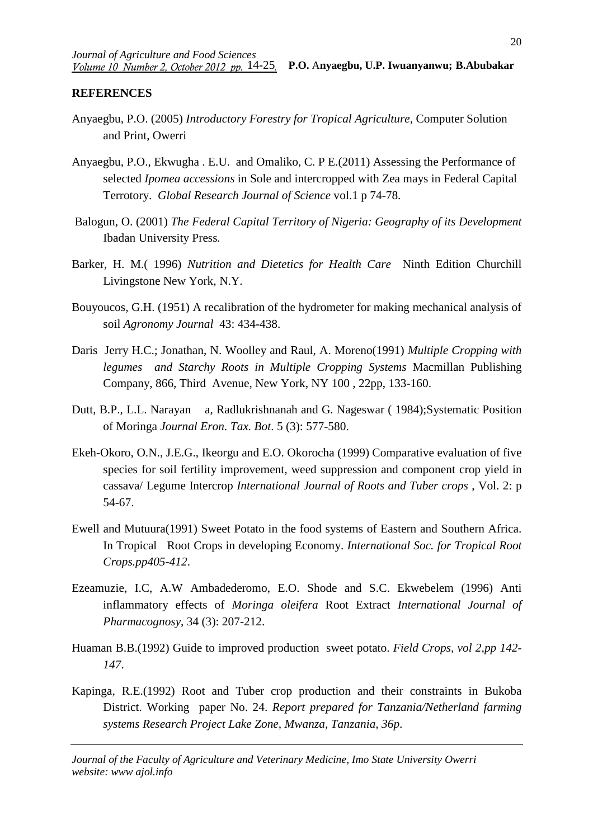### **REFERENCES**

- Anyaegbu, P.O. (2005) *Introductory Forestry for Tropical Agriculture*, Computer Solution and Print, Owerri
- Anyaegbu, P.O., Ekwugha . E.U. and Omaliko, C. P E.(2011) Assessing the Performance of selected *Ipomea accessions* in Sole and intercropped with Zea mays in Federal Capital Terrotory. *Global Research Journal of Science* vol.1 p 74-78.
- Balogun, O. (2001) *The Federal Capital Territory of Nigeria: Geography of its Development* Ibadan University Press*.*
- Barker, H. M.( 1996) *Nutrition and Dietetics for Health Care* Ninth Edition Churchill Livingstone New York, N.Y.
- Bouyoucos, G.H. (1951) A recalibration of the hydrometer for making mechanical analysis of soil *Agronomy Journal* 43: 434-438.
- Daris Jerry H.C.; Jonathan, N. Woolley and Raul, A. Moreno(1991) *Multiple Cropping with legumes and Starchy Roots in Multiple Cropping Systems* Macmillan Publishing Company, 866, Third Avenue, New York, NY 100 , 22pp, 133-160.
- Dutt, B.P., L.L. Narayan a, Radlukrishnanah and G. Nageswar ( 1984);Systematic Position of Moringa *Journal Eron. Tax. Bot*. 5 (3): 577-580.
- Ekeh-Okoro, O.N., J.E.G., Ikeorgu and E.O. Okorocha (1999) Comparative evaluation of five species for soil fertility improvement, weed suppression and component crop yield in cassava/ Legume Intercrop *International Journal of Roots and Tuber crops* , Vol. 2: p 54-67.
- Ewell and Mutuura(1991) Sweet Potato in the food systems of Eastern and Southern Africa. In Tropical Root Crops in developing Economy. *International Soc. for Tropical Root Crops.pp405-412*.
- Ezeamuzie, I.C, A.W Ambadederomo, E.O. Shode and S.C. Ekwebelem (1996) Anti inflammatory effects of *Moringa oleifera* Root Extract *International Journal of Pharmacognosy*, 34 (3): 207-212.
- Huaman B.B.(1992) Guide to improved production sweet potato. *Field Crops, vol 2,pp 142- 147*.
- Kapinga, R.E.(1992) Root and Tuber crop production and their constraints in Bukoba District. Working paper No. 24. *Report prepared for Tanzania/Netherland farming systems Research Project Lake Zone, Mwanza, Tanzania, 36p*.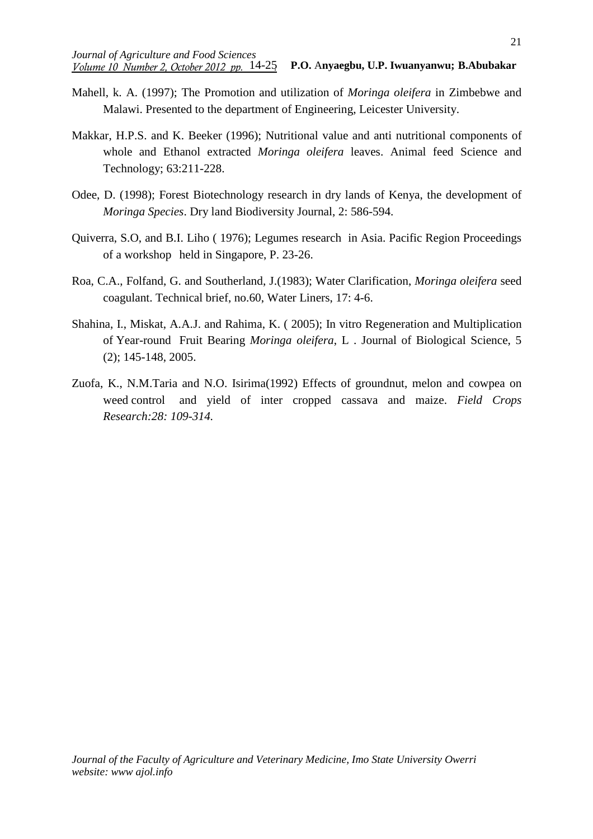- Mahell, k. A. (1997); The Promotion and utilization of *Moringa oleifera* in Zimbebwe and Malawi. Presented to the department of Engineering, Leicester University.
- Makkar, H.P.S. and K. Beeker (1996); Nutritional value and anti nutritional components of whole and Ethanol extracted *Moringa oleifera* leaves. Animal feed Science and Technology; 63:211-228.
- Odee, D. (1998); Forest Biotechnology research in dry lands of Kenya, the development of *Moringa Species*. Dry land Biodiversity Journal, 2: 586-594.
- Quiverra, S.O, and B.I. Liho ( 1976); Legumes research in Asia. Pacific Region Proceedings of a workshop held in Singapore, P. 23-26.
- Roa, C.A., Folfand, G. and Southerland, J.(1983); Water Clarification, *Moringa oleifera* seed coagulant. Technical brief, no.60, Water Liners, 17: 4-6.
- Shahina, I., Miskat, A.A.J. and Rahima, K. ( 2005); In vitro Regeneration and Multiplication of Year-round Fruit Bearing *Moringa oleifera*, L . Journal of Biological Science, 5 (2); 145-148, 2005.
- Zuofa, K., N.M.Taria and N.O. Isirima(1992) Effects of groundnut, melon and cowpea on weed control and yield of inter cropped cassava and maize. *Field Crops Research:28: 109-314.*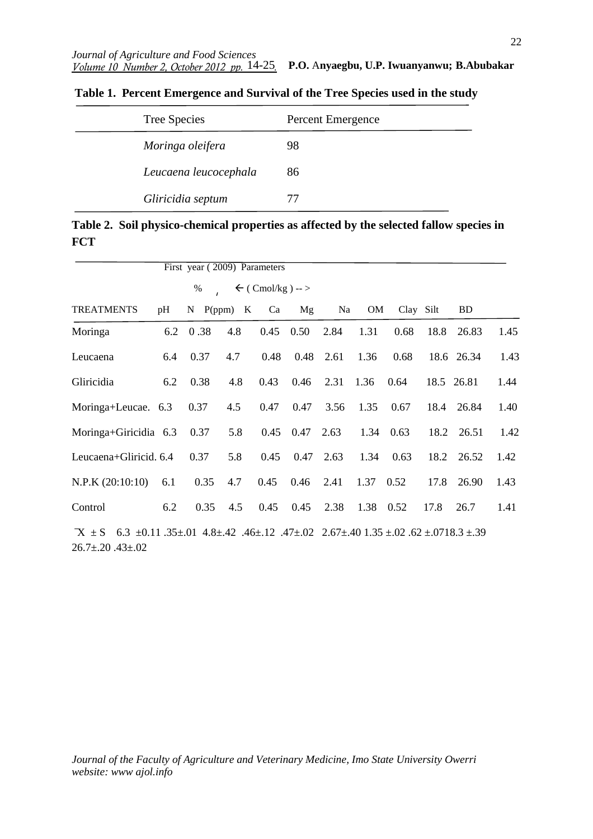| Tree Species          | Percent Emergence |
|-----------------------|-------------------|
| Moringa oleifera      | 98                |
| Leucaena leucocephala | 86                |
| Gliricidia septum     | 77                |

 **Table 1. Percent Emergence and Survival of the Tree Species used in the study** 

**Table 2. Soil physico-chemical properties as affected by the selected fallow species in FCT** 

|                                                                                                                                      |     | First year (2009) Parameters |                |                             |                      |                |           |             |      |            |      |
|--------------------------------------------------------------------------------------------------------------------------------------|-----|------------------------------|----------------|-----------------------------|----------------------|----------------|-----------|-------------|------|------------|------|
|                                                                                                                                      |     | %                            |                | $\leftarrow$ (Cmol/kg) -- > |                      |                |           |             |      |            |      |
| <b>TREATMENTS</b>                                                                                                                    | pH  |                              | $N$ P(ppm) $K$ | Ca                          | Mg                   | Na             | OM        | Clay Silt   |      | <b>BD</b>  |      |
| Moringa                                                                                                                              |     | 6.2 0.38                     | 4.8            | 0.45                        | 0.50                 | 2.84           | 1.31      | 0.68        | 18.8 | 26.83      | 1.45 |
| Leucaena                                                                                                                             | 6.4 | 0.37                         | 4.7            | 0.48                        |                      | $0.48$ 2.61    | 1.36      | 0.68        |      | 18.6 26.34 | 1.43 |
| Gliricidia                                                                                                                           | 6.2 | 0.38                         | 4.8            | 0.43                        |                      | 0.46 2.31 1.36 |           | 0.64        |      | 18.5 26.81 | 1.44 |
| Moringa+Leucae. 6.3                                                                                                                  |     | 0.37                         | 4.5            | 0.47                        | 0.47                 | 3.56           | 1.35      | 0.67        |      | 18.4 26.84 | 1.40 |
| Moringa+Giricidia 6.3 0.37                                                                                                           |     |                              | 5.8            |                             | $0.45$ $0.47$ $2.63$ |                |           | 1.34 0.63   |      | 18.2 26.51 | 1.42 |
| Leucaena+Gliricid. 6.4                                                                                                               |     | 0.37                         | 5.8            | 0.45                        |                      | $0.47$ 2.63    |           | $1.34$ 0.63 |      | 18.2 26.52 | 1.42 |
| $N.P.K (20:10:10)$ 6.1                                                                                                               |     | 0.35                         | 4.7            |                             | $0.45$ $0.46$ $2.41$ |                | 1.37 0.52 |             |      | 17.8 26.90 | 1.43 |
| Control                                                                                                                              | 6.2 | 0.35                         | 4.5            |                             | $0.45$ $0.45$ $2.38$ |                | 1.38 0.52 |             | 17.8 | 26.7       | 1.41 |
| $X \pm S$ 6.3 ± 0.11 .35 ± 0.1 4.8± 4.42 .46± 1.2 .47± 0.0 2.67± 40 1.35 ± 0.0 .62 ± 0.718 .3 ± 39<br>$26.7 \pm 0.20$ .43 $\pm 0.02$ |     |                              |                |                             |                      |                |           |             |      |            |      |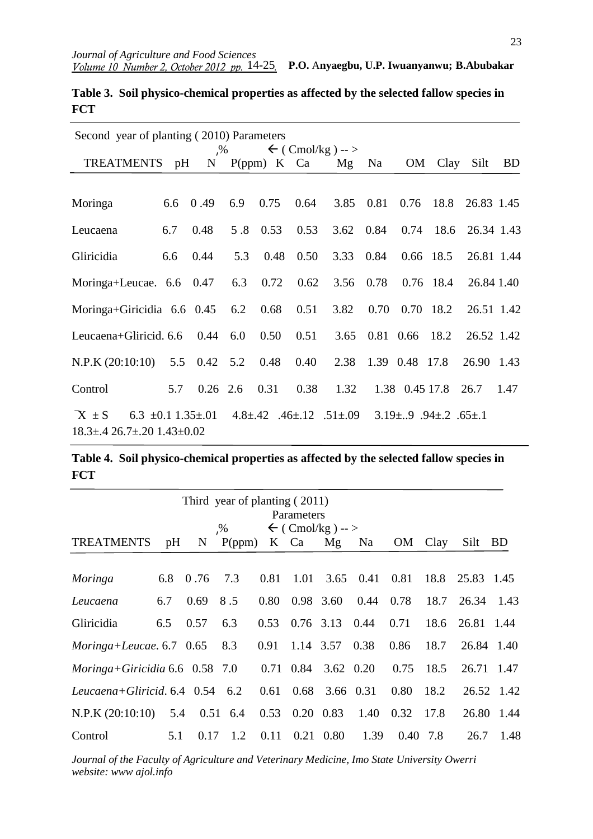23

| Second year of planting (2010) Parameters                                                                                                                                         |     |                              |     |               |      |                                   |                     |                |           |            |      |
|-----------------------------------------------------------------------------------------------------------------------------------------------------------------------------------|-----|------------------------------|-----|---------------|------|-----------------------------------|---------------------|----------------|-----------|------------|------|
| TREATMENTS pH                                                                                                                                                                     |     | $\frac{9}{6}$<br>$N_{\odot}$ |     | $P(ppm)$ K Ca |      | $\leftarrow$ (Cmol/kg) -- ><br>Mg | Na                  | OM             | Clay      | Silt       | BD   |
|                                                                                                                                                                                   |     |                              |     |               |      |                                   |                     |                |           |            |      |
| Moringa                                                                                                                                                                           | 6.6 | 0.49                         | 6.9 | 0.75          | 0.64 | 3.85 0.81                         |                     | 0.76           | 18.8      | 26.83 1.45 |      |
| Leucaena                                                                                                                                                                          | 6.7 | 0.48                         |     | 5.8 0.53      | 0.53 | 3.62 0.84 0.74 18.6               |                     |                |           | 26.34 1.43 |      |
| Gliricidia                                                                                                                                                                        | 6.6 | 0.44                         | 5.3 | 0.48          | 0.50 | 3.33 0.84                         |                     |                | 0.66 18.5 | 26.81 1.44 |      |
| Moringa+Leucae. $6.6$ 0.47 $6.3$                                                                                                                                                  |     |                              |     | 0.72          | 0.62 | 3.56                              | 0.78                |                | 0.76 18.4 | 26.84 1.40 |      |
| Moringa+Giricidia $6.6$ 0.45 $6.2$ 0.68                                                                                                                                           |     |                              |     |               | 0.51 | 3.82                              | 0.70                | 0.70 18.2      |           | 26.51 1.42 |      |
| Leucaena+Gliricid. $6.6$ 0.44 $6.0$                                                                                                                                               |     |                              |     | 0.50          | 0.51 |                                   | 3.65 0.81 0.66 18.2 |                |           | 26.52 1.42 |      |
| N.P.K $(20:10:10)$ 5.5 0.42 5.2                                                                                                                                                   |     |                              |     | 0.48          | 0.40 | 2.38                              | 1.39 0.48 17.8      |                |           | 26.90 1.43 |      |
| Control                                                                                                                                                                           | 5.7 | $0.26$ 2.6                   |     | 0.31          | 0.38 | 1.32                              |                     | 1.38 0.45 17.8 |           | 26.7       | 1.47 |
| $X \pm S$<br>6.3 $\pm 0.1$ 1.35 $\pm$ .01<br>$4.8 \pm .42$ $.46 \pm .12$ $.51 \pm .09$<br>$3.19 \pm .9$ $.94 \pm .2$ $.65 \pm .1$<br>$18.3 \pm .4$ 26.7 $\pm .20$ 1.43 $\pm$ 0.02 |     |                              |     |               |      |                                   |                     |                |           |            |      |

**Table 3. Soil physico-chemical properties as affected by the selected fallow species in FCT** 

**Table 4. Soil physico-chemical properties as affected by the selected fallow species in FCT**

| Third year of planting (2011)<br>Parameters  |     |              |               |      |      |                              |      |      |      |                 |            |
|----------------------------------------------|-----|--------------|---------------|------|------|------------------------------|------|------|------|-----------------|------------|
| $\leftarrow$ (Cmol/kg) -- ><br>$\frac{9}{6}$ |     |              |               |      |      |                              |      |      |      |                 |            |
| <b>TREATMENTS</b>                            | pH  | N            | $P(ppm)$ K Ca |      |      | Mg                           | Na   | OM   | Clay | Silt            | <b>BD</b>  |
|                                              |     |              |               |      |      |                              |      |      |      |                 |            |
| Moringa                                      | 6.8 | 0.76         | 7.3           | 0.81 | 1.01 | 3.65                         | 0.41 | 0.81 | 18.8 | 25.83 1.45      |            |
| Leucaena                                     | 6.7 | 0.69         | 8.5           | 0.80 |      | 0.98 3.60                    | 0.44 | 0.78 | 18.7 | 26.34           | 1.43       |
| Gliricidia                                   | 6.5 | 0.57         | 6.3           | 0.53 |      | $0.76$ 3.13 $0.44$           |      | 0.71 |      | 18.6 26.81 1.44 |            |
| Moringa+Leucae. $6.7 \quad 0.65 \quad 8.3$   |     |              |               | 0.91 |      | 1.14 3.57 0.38               |      | 0.86 | 18.7 | 26.84 1.40      |            |
| Moringa+Giricidia $6.6 \quad 0.58 \quad 7.0$ |     |              |               |      |      | 0.71 0.84 3.62 0.20          |      | 0.75 | 18.5 | 26.71           | - 1.47     |
| Leucaena+Gliricid. $6.4$ 0.54 $6.2$          |     |              |               | 0.61 |      | 0.68 3.66 0.31               |      | 0.80 | 18.2 |                 | 26.52 1.42 |
| N.P.K (20:10:10)                             |     | 5.4 0.51 6.4 |               |      |      | $0.53 \quad 0.20 \quad 0.83$ | 1.40 | 0.32 | 17.8 |                 | 26.80 1.44 |
| Control                                      | 5.1 | 0.17         | 1.2           | 0.11 |      | $0.21$ 0.80                  | 1.39 | 0.40 | 7.8  | 26.7            | 1.48       |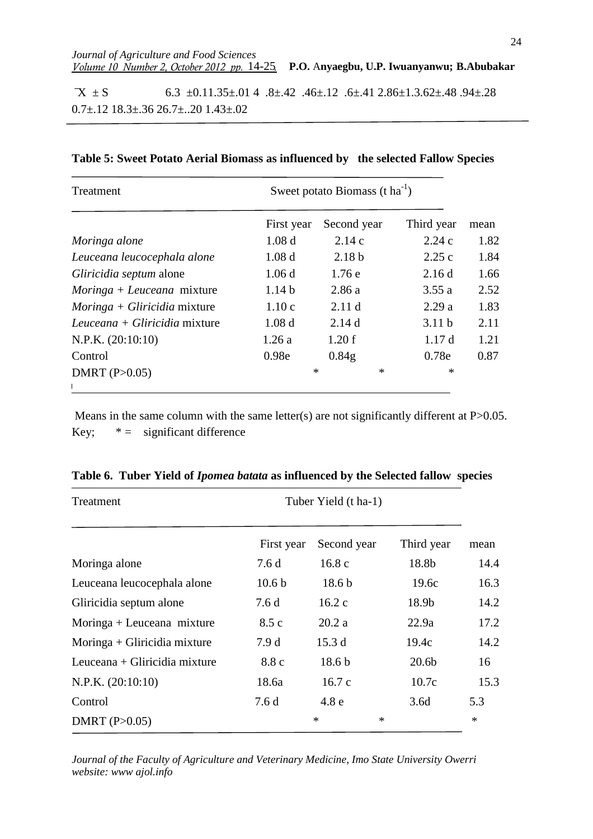$X \pm S$  6.3  $\pm 0.11.35 \pm .014$  .8 $\pm 0.42$  .46 $\pm 0.12$  .6 $\pm 0.41$  2.86 $\pm 1.3.62 \pm .48$  .94 $\pm 0.28$  $0.7\pm12$  18.3 $\pm$ .36 26.7 $\pm$ ..20 1.43 $\pm$ .02

| Treatment                      | Sweet potato Biomass $(t \text{ ha}^{-1})$ |                   |                   |      |  |  |  |  |  |
|--------------------------------|--------------------------------------------|-------------------|-------------------|------|--|--|--|--|--|
|                                | First year                                 | Second year       | Third year        | mean |  |  |  |  |  |
| Moringa alone                  | 1.08 <sub>d</sub>                          | 2.14c             | 2.24c             | 1.82 |  |  |  |  |  |
| Leuceana leucocephala alone    | 1.08 <sub>d</sub>                          | 2.18 <sub>b</sub> | 2.25c             | 1.84 |  |  |  |  |  |
| Gliricidia septum alone        | 1.06d                                      | 1.76e             | 2.16d             | 1.66 |  |  |  |  |  |
| $Moringa + Leuceana$ mixture   | 1.14 <sub>b</sub>                          | 2.86a             | 3.55a             | 2.52 |  |  |  |  |  |
| $Moringa + Gliricidia mixture$ | 1.10c                                      | 2.11 <sub>d</sub> | 2.29a             | 1.83 |  |  |  |  |  |
| Leuceana + Gliricidia mixture  | 1.08 <sub>d</sub>                          | 2.14d             | 3.11 <sub>b</sub> | 2.11 |  |  |  |  |  |
| N.P.K. (20:10:10)              | 1.26a                                      | 1.20 f            | 1.17d             | 1.21 |  |  |  |  |  |
| Control                        | 0.98e                                      | 0.84g             | 0.78e             | 0.87 |  |  |  |  |  |
| DMRT $(P>0.05)$                | $\ast$                                     | $\ast$            | $\ast$            |      |  |  |  |  |  |
|                                |                                            |                   |                   |      |  |  |  |  |  |

#### **Table 5: Sweet Potato Aerial Biomass as influenced by the selected Fallow Species**

Means in the same column with the same letter(s) are not significantly different at  $P > 0.05$ . Key;  $* =$  significant difference

| Treatment                     | Tuber Yield (t ha-1) |                   |                   |        |  |  |  |
|-------------------------------|----------------------|-------------------|-------------------|--------|--|--|--|
|                               | First year           | Second year       | Third year        | mean   |  |  |  |
| Moringa alone                 | 7.6d                 | 16.8c             | 18.8b             | 14.4   |  |  |  |
| Leuceana leucocephala alone   | 10.6 <sub>b</sub>    | 18.6 <sub>b</sub> | 19.6c             | 16.3   |  |  |  |
| Gliricidia septum alone       | 7.6 d                | 16.2c             | 18.9b             | 14.2   |  |  |  |
| $Moringa + Leuceana mixture$  | 8.5c                 | 20.2a             | 22.9a             | 17.2   |  |  |  |
| Moringa + Gliricidia mixture  | 7.9d                 | 15.3d             | 19.4c             | 14.2   |  |  |  |
| Leuceana + Gliricidia mixture | 8.8 c                | 18.6 <sub>b</sub> | 20.6 <sub>b</sub> | 16     |  |  |  |
| N.P.K. (20:10:10)             | 18.6a                | 16.7c             | 10.7c             | 15.3   |  |  |  |
| Control                       | 7.6d                 | 4.8e              | 3.6d              | 5.3    |  |  |  |
| DMRT $(P>0.05)$               |                      | $\ast$<br>∗       |                   | $\ast$ |  |  |  |

|  |  |  |  |  |  |  | Table 6. Tuber Yield of <i>Ipomea batata</i> as influenced by the Selected fallow species |  |
|--|--|--|--|--|--|--|-------------------------------------------------------------------------------------------|--|
|--|--|--|--|--|--|--|-------------------------------------------------------------------------------------------|--|